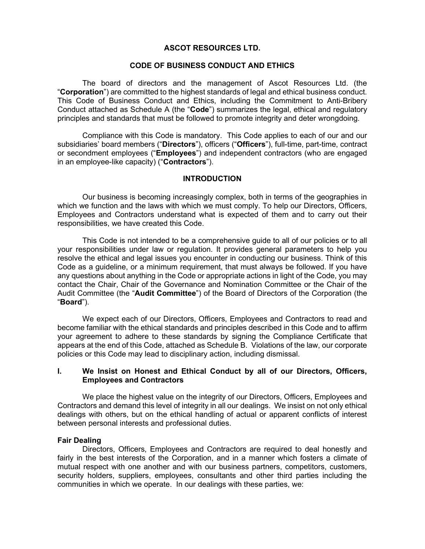## ASCOT RESOURCES LTD.

# CODE OF BUSINESS CONDUCT AND ETHICS

The board of directors and the management of Ascot Resources Ltd. (the "Corporation") are committed to the highest standards of legal and ethical business conduct. This Code of Business Conduct and Ethics, including the Commitment to Anti-Bribery Conduct attached as Schedule A (the "Code") summarizes the legal, ethical and regulatory principles and standards that must be followed to promote integrity and deter wrongdoing.

Compliance with this Code is mandatory. This Code applies to each of our and our subsidiaries' board members ("Directors"), officers ("Officers"), full-time, part-time, contract or secondment employees ("Employees") and independent contractors (who are engaged in an employee-like capacity) ("Contractors").

#### **INTRODUCTION**

Our business is becoming increasingly complex, both in terms of the geographies in which we function and the laws with which we must comply. To help our Directors, Officers, Employees and Contractors understand what is expected of them and to carry out their responsibilities, we have created this Code.

This Code is not intended to be a comprehensive guide to all of our policies or to all your responsibilities under law or regulation. It provides general parameters to help you resolve the ethical and legal issues you encounter in conducting our business. Think of this Code as a guideline, or a minimum requirement, that must always be followed. If you have any questions about anything in the Code or appropriate actions in light of the Code, you may contact the Chair, Chair of the Governance and Nomination Committee or the Chair of the Audit Committee (the "Audit Committee") of the Board of Directors of the Corporation (the "Board").

We expect each of our Directors, Officers, Employees and Contractors to read and become familiar with the ethical standards and principles described in this Code and to affirm your agreement to adhere to these standards by signing the Compliance Certificate that appears at the end of this Code, attached as Schedule B. Violations of the law, our corporate policies or this Code may lead to disciplinary action, including dismissal.

## I. We Insist on Honest and Ethical Conduct by all of our Directors, Officers, Employees and Contractors

We place the highest value on the integrity of our Directors, Officers, Employees and Contractors and demand this level of integrity in all our dealings. We insist on not only ethical dealings with others, but on the ethical handling of actual or apparent conflicts of interest between personal interests and professional duties.

## Fair Dealing

Directors, Officers, Employees and Contractors are required to deal honestly and fairly in the best interests of the Corporation, and in a manner which fosters a climate of mutual respect with one another and with our business partners, competitors, customers, security holders, suppliers, employees, consultants and other third parties including the communities in which we operate. In our dealings with these parties, we: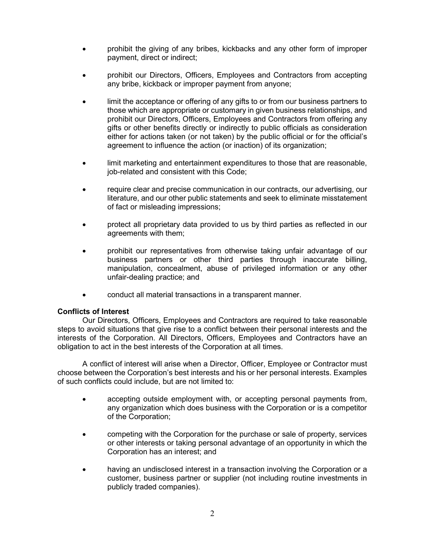- prohibit the giving of any bribes, kickbacks and any other form of improper payment, direct or indirect;
- prohibit our Directors, Officers, Employees and Contractors from accepting any bribe, kickback or improper payment from anyone;
- limit the acceptance or offering of any gifts to or from our business partners to those which are appropriate or customary in given business relationships, and prohibit our Directors, Officers, Employees and Contractors from offering any gifts or other benefits directly or indirectly to public officials as consideration either for actions taken (or not taken) by the public official or for the official's agreement to influence the action (or inaction) of its organization;
- limit marketing and entertainment expenditures to those that are reasonable, job-related and consistent with this Code;
- require clear and precise communication in our contracts, our advertising, our literature, and our other public statements and seek to eliminate misstatement of fact or misleading impressions;
- protect all proprietary data provided to us by third parties as reflected in our agreements with them;
- prohibit our representatives from otherwise taking unfair advantage of our business partners or other third parties through inaccurate billing, manipulation, concealment, abuse of privileged information or any other unfair-dealing practice; and
- conduct all material transactions in a transparent manner.

## Conflicts of Interest

Our Directors, Officers, Employees and Contractors are required to take reasonable steps to avoid situations that give rise to a conflict between their personal interests and the interests of the Corporation. All Directors, Officers, Employees and Contractors have an obligation to act in the best interests of the Corporation at all times.

A conflict of interest will arise when a Director, Officer, Employee or Contractor must choose between the Corporation's best interests and his or her personal interests. Examples of such conflicts could include, but are not limited to:

- accepting outside employment with, or accepting personal payments from, any organization which does business with the Corporation or is a competitor of the Corporation;
- competing with the Corporation for the purchase or sale of property, services or other interests or taking personal advantage of an opportunity in which the Corporation has an interest; and
- having an undisclosed interest in a transaction involving the Corporation or a customer, business partner or supplier (not including routine investments in publicly traded companies).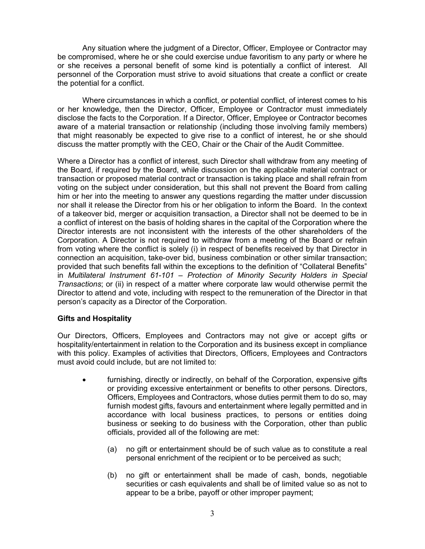Any situation where the judgment of a Director, Officer, Employee or Contractor may be compromised, where he or she could exercise undue favoritism to any party or where he or she receives a personal benefit of some kind is potentially a conflict of interest. All personnel of the Corporation must strive to avoid situations that create a conflict or create the potential for a conflict.

Where circumstances in which a conflict, or potential conflict, of interest comes to his or her knowledge, then the Director, Officer, Employee or Contractor must immediately disclose the facts to the Corporation. If a Director, Officer, Employee or Contractor becomes aware of a material transaction or relationship (including those involving family members) that might reasonably be expected to give rise to a conflict of interest, he or she should discuss the matter promptly with the CEO, Chair or the Chair of the Audit Committee.

Where a Director has a conflict of interest, such Director shall withdraw from any meeting of the Board, if required by the Board, while discussion on the applicable material contract or transaction or proposed material contract or transaction is taking place and shall refrain from voting on the subject under consideration, but this shall not prevent the Board from calling him or her into the meeting to answer any questions regarding the matter under discussion nor shall it release the Director from his or her obligation to inform the Board. In the context of a takeover bid, merger or acquisition transaction, a Director shall not be deemed to be in a conflict of interest on the basis of holding shares in the capital of the Corporation where the Director interests are not inconsistent with the interests of the other shareholders of the Corporation. A Director is not required to withdraw from a meeting of the Board or refrain from voting where the conflict is solely (i) in respect of benefits received by that Director in connection an acquisition, take-over bid, business combination or other similar transaction; provided that such benefits fall within the exceptions to the definition of "Collateral Benefits" in Multilateral Instrument 61-101 – Protection of Minority Security Holders in Special Transactions; or (ii) in respect of a matter where corporate law would otherwise permit the Director to attend and vote, including with respect to the remuneration of the Director in that person's capacity as a Director of the Corporation.

# Gifts and Hospitality

Our Directors, Officers, Employees and Contractors may not give or accept gifts or hospitality/entertainment in relation to the Corporation and its business except in compliance with this policy. Examples of activities that Directors, Officers, Employees and Contractors must avoid could include, but are not limited to:

- furnishing, directly or indirectly, on behalf of the Corporation, expensive gifts or providing excessive entertainment or benefits to other persons. Directors, Officers, Employees and Contractors, whose duties permit them to do so, may furnish modest gifts, favours and entertainment where legally permitted and in accordance with local business practices, to persons or entities doing business or seeking to do business with the Corporation, other than public officials, provided all of the following are met:
	- (a) no gift or entertainment should be of such value as to constitute a real personal enrichment of the recipient or to be perceived as such;
	- (b) no gift or entertainment shall be made of cash, bonds, negotiable securities or cash equivalents and shall be of limited value so as not to appear to be a bribe, payoff or other improper payment;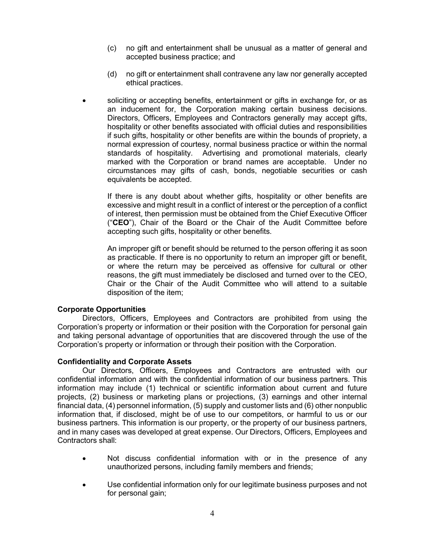- (c) no gift and entertainment shall be unusual as a matter of general and accepted business practice; and
- (d) no gift or entertainment shall contravene any law nor generally accepted ethical practices.
- soliciting or accepting benefits, entertainment or gifts in exchange for, or as an inducement for, the Corporation making certain business decisions. Directors, Officers, Employees and Contractors generally may accept gifts, hospitality or other benefits associated with official duties and responsibilities if such gifts, hospitality or other benefits are within the bounds of propriety, a normal expression of courtesy, normal business practice or within the normal standards of hospitality. Advertising and promotional materials, clearly marked with the Corporation or brand names are acceptable. Under no circumstances may gifts of cash, bonds, negotiable securities or cash equivalents be accepted.

If there is any doubt about whether gifts, hospitality or other benefits are excessive and might result in a conflict of interest or the perception of a conflict of interest, then permission must be obtained from the Chief Executive Officer ("CEO"), Chair of the Board or the Chair of the Audit Committee before accepting such gifts, hospitality or other benefits.

An improper gift or benefit should be returned to the person offering it as soon as practicable. If there is no opportunity to return an improper gift or benefit, or where the return may be perceived as offensive for cultural or other reasons, the gift must immediately be disclosed and turned over to the CEO, Chair or the Chair of the Audit Committee who will attend to a suitable disposition of the item;

## Corporate Opportunities

Directors, Officers, Employees and Contractors are prohibited from using the Corporation's property or information or their position with the Corporation for personal gain and taking personal advantage of opportunities that are discovered through the use of the Corporation's property or information or through their position with the Corporation.

## Confidentiality and Corporate Assets

Our Directors, Officers, Employees and Contractors are entrusted with our confidential information and with the confidential information of our business partners. This information may include (1) technical or scientific information about current and future projects, (2) business or marketing plans or projections, (3) earnings and other internal financial data, (4) personnel information, (5) supply and customer lists and (6) other nonpublic information that, if disclosed, might be of use to our competitors, or harmful to us or our business partners. This information is our property, or the property of our business partners, and in many cases was developed at great expense. Our Directors, Officers, Employees and Contractors shall:

- Not discuss confidential information with or in the presence of any unauthorized persons, including family members and friends;
- Use confidential information only for our legitimate business purposes and not for personal gain;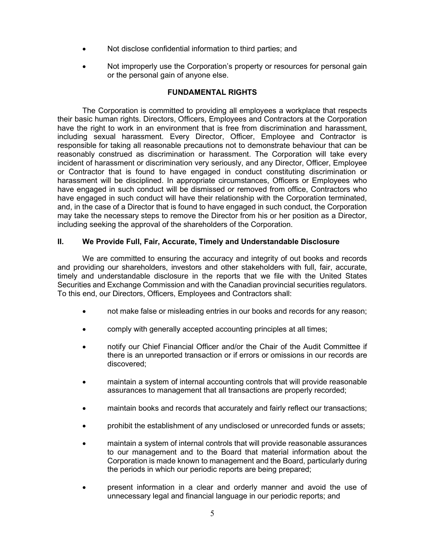- Not disclose confidential information to third parties; and
- Not improperly use the Corporation's property or resources for personal gain or the personal gain of anyone else.

# FUNDAMENTAL RIGHTS

The Corporation is committed to providing all employees a workplace that respects their basic human rights. Directors, Officers, Employees and Contractors at the Corporation have the right to work in an environment that is free from discrimination and harassment, including sexual harassment. Every Director, Officer, Employee and Contractor is responsible for taking all reasonable precautions not to demonstrate behaviour that can be reasonably construed as discrimination or harassment. The Corporation will take every incident of harassment or discrimination very seriously, and any Director, Officer, Employee or Contractor that is found to have engaged in conduct constituting discrimination or harassment will be disciplined. In appropriate circumstances, Officers or Employees who have engaged in such conduct will be dismissed or removed from office, Contractors who have engaged in such conduct will have their relationship with the Corporation terminated, and, in the case of a Director that is found to have engaged in such conduct, the Corporation may take the necessary steps to remove the Director from his or her position as a Director, including seeking the approval of the shareholders of the Corporation.

# II. We Provide Full, Fair, Accurate, Timely and Understandable Disclosure

We are committed to ensuring the accuracy and integrity of out books and records and providing our shareholders, investors and other stakeholders with full, fair, accurate, timely and understandable disclosure in the reports that we file with the United States Securities and Exchange Commission and with the Canadian provincial securities regulators. To this end, our Directors, Officers, Employees and Contractors shall:

- not make false or misleading entries in our books and records for any reason;
- comply with generally accepted accounting principles at all times;
- notify our Chief Financial Officer and/or the Chair of the Audit Committee if there is an unreported transaction or if errors or omissions in our records are discovered;
- maintain a system of internal accounting controls that will provide reasonable assurances to management that all transactions are properly recorded;
- maintain books and records that accurately and fairly reflect our transactions;
- prohibit the establishment of any undisclosed or unrecorded funds or assets;
- maintain a system of internal controls that will provide reasonable assurances to our management and to the Board that material information about the Corporation is made known to management and the Board, particularly during the periods in which our periodic reports are being prepared;
- present information in a clear and orderly manner and avoid the use of unnecessary legal and financial language in our periodic reports; and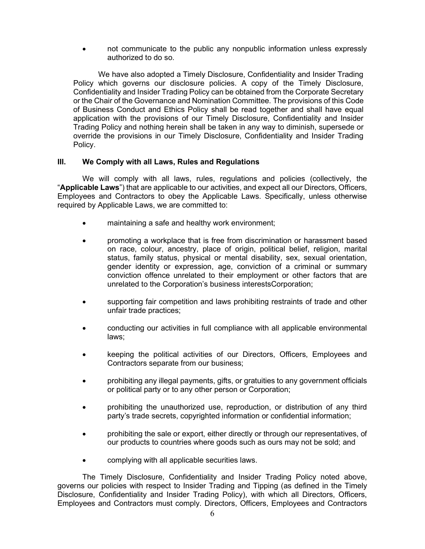not communicate to the public any nonpublic information unless expressly authorized to do so.

We have also adopted a Timely Disclosure, Confidentiality and Insider Trading Policy which governs our disclosure policies. A copy of the Timely Disclosure, Confidentiality and Insider Trading Policy can be obtained from the Corporate Secretary or the Chair of the Governance and Nomination Committee. The provisions of this Code of Business Conduct and Ethics Policy shall be read together and shall have equal application with the provisions of our Timely Disclosure, Confidentiality and Insider Trading Policy and nothing herein shall be taken in any way to diminish, supersede or override the provisions in our Timely Disclosure, Confidentiality and Insider Trading Policy.

# III. We Comply with all Laws, Rules and Regulations

We will comply with all laws, rules, regulations and policies (collectively, the "Applicable Laws") that are applicable to our activities, and expect all our Directors, Officers, Employees and Contractors to obey the Applicable Laws. Specifically, unless otherwise required by Applicable Laws, we are committed to:

- maintaining a safe and healthy work environment;
- promoting a workplace that is free from discrimination or harassment based on race, colour, ancestry, place of origin, political belief, religion, marital status, family status, physical or mental disability, sex, sexual orientation, gender identity or expression, age, conviction of a criminal or summary conviction offence unrelated to their employment or other factors that are unrelated to the Corporation's business interestsCorporation;
- supporting fair competition and laws prohibiting restraints of trade and other unfair trade practices;
- conducting our activities in full compliance with all applicable environmental laws;
- keeping the political activities of our Directors, Officers, Employees and Contractors separate from our business;
- prohibiting any illegal payments, gifts, or gratuities to any government officials or political party or to any other person or Corporation;
- prohibiting the unauthorized use, reproduction, or distribution of any third party's trade secrets, copyrighted information or confidential information;
- prohibiting the sale or export, either directly or through our representatives, of our products to countries where goods such as ours may not be sold; and
- complying with all applicable securities laws.

The Timely Disclosure, Confidentiality and Insider Trading Policy noted above, governs our policies with respect to Insider Trading and Tipping (as defined in the Timely Disclosure, Confidentiality and Insider Trading Policy), with which all Directors, Officers, Employees and Contractors must comply. Directors, Officers, Employees and Contractors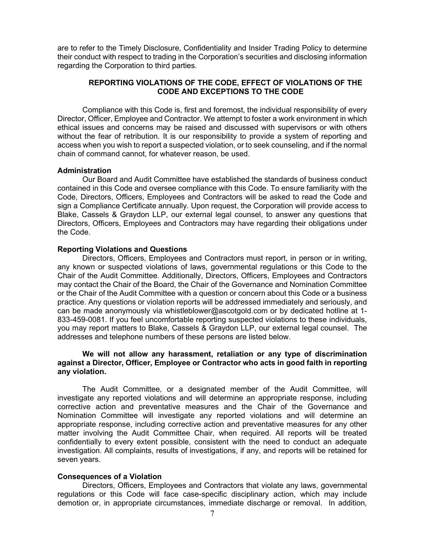are to refer to the Timely Disclosure, Confidentiality and Insider Trading Policy to determine their conduct with respect to trading in the Corporation's securities and disclosing information regarding the Corporation to third parties.

# REPORTING VIOLATIONS OF THE CODE, EFFECT OF VIOLATIONS OF THE CODE AND EXCEPTIONS TO THE CODE

Compliance with this Code is, first and foremost, the individual responsibility of every Director, Officer, Employee and Contractor. We attempt to foster a work environment in which ethical issues and concerns may be raised and discussed with supervisors or with others without the fear of retribution. It is our responsibility to provide a system of reporting and access when you wish to report a suspected violation, or to seek counseling, and if the normal chain of command cannot, for whatever reason, be used.

#### Administration

Our Board and Audit Committee have established the standards of business conduct contained in this Code and oversee compliance with this Code. To ensure familiarity with the Code, Directors, Officers, Employees and Contractors will be asked to read the Code and sign a Compliance Certificate annually. Upon request, the Corporation will provide access to Blake, Cassels & Graydon LLP, our external legal counsel, to answer any questions that Directors, Officers, Employees and Contractors may have regarding their obligations under the Code.

#### Reporting Violations and Questions

Directors, Officers, Employees and Contractors must report, in person or in writing, any known or suspected violations of laws, governmental regulations or this Code to the Chair of the Audit Committee. Additionally, Directors, Officers, Employees and Contractors may contact the Chair of the Board, the Chair of the Governance and Nomination Committee or the Chair of the Audit Committee with a question or concern about this Code or a business practice. Any questions or violation reports will be addressed immediately and seriously, and can be made anonymously via whistleblower@ascotgold.com or by dedicated hotline at 1- 833-459-0081. If you feel uncomfortable reporting suspected violations to these individuals, you may report matters to Blake, Cassels & Graydon LLP, our external legal counsel. The addresses and telephone numbers of these persons are listed below.

## We will not allow any harassment, retaliation or any type of discrimination against a Director, Officer, Employee or Contractor who acts in good faith in reporting any violation.

The Audit Committee, or a designated member of the Audit Committee, will investigate any reported violations and will determine an appropriate response, including corrective action and preventative measures and the Chair of the Governance and Nomination Committee will investigate any reported violations and will determine an appropriate response, including corrective action and preventative measures for any other matter involving the Audit Committee Chair, when required. All reports will be treated confidentially to every extent possible, consistent with the need to conduct an adequate investigation. All complaints, results of investigations, if any, and reports will be retained for seven years.

## Consequences of a Violation

Directors, Officers, Employees and Contractors that violate any laws, governmental regulations or this Code will face case-specific disciplinary action, which may include demotion or, in appropriate circumstances, immediate discharge or removal. In addition,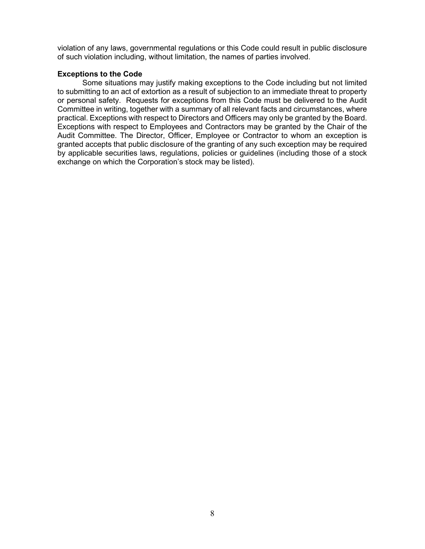violation of any laws, governmental regulations or this Code could result in public disclosure of such violation including, without limitation, the names of parties involved.

# Exceptions to the Code

Some situations may justify making exceptions to the Code including but not limited to submitting to an act of extortion as a result of subjection to an immediate threat to property or personal safety. Requests for exceptions from this Code must be delivered to the Audit Committee in writing, together with a summary of all relevant facts and circumstances, where practical. Exceptions with respect to Directors and Officers may only be granted by the Board. Exceptions with respect to Employees and Contractors may be granted by the Chair of the Audit Committee. The Director, Officer, Employee or Contractor to whom an exception is granted accepts that public disclosure of the granting of any such exception may be required by applicable securities laws, regulations, policies or guidelines (including those of a stock exchange on which the Corporation's stock may be listed).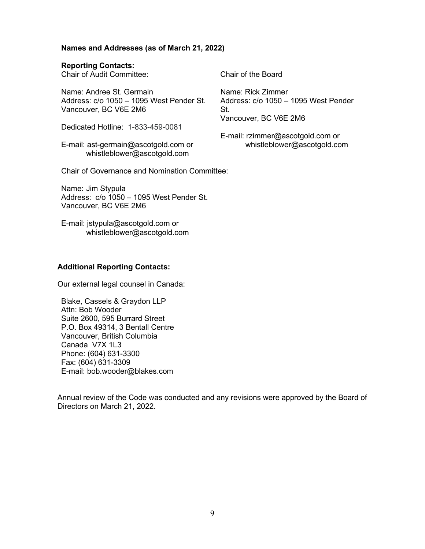## Names and Addresses (as of March 21, 2022)

## Reporting Contacts:

Chair of Audit Committee: Chair of the Board

Name: Andree St. Germain Address: c/o 1050 – 1095 West Pender St. Vancouver, BC V6E 2M6

Dedicated Hotline: 1-833-459-0081

E-mail: ast-germain@ascotgold.com or whistleblower@ascotgold.com

Name: Rick Zimmer Address: c/o 1050 – 1095 West Pender St. Vancouver, BC V6E 2M6

E-mail: rzimmer@ascotgold.com or whistleblower@ascotgold.com

Chair of Governance and Nomination Committee:

Name: Jim Stypula Address: c/o 1050 – 1095 West Pender St. Vancouver, BC V6E 2M6

E-mail: jstypula@ascotgold.com or whistleblower@ascotgold.com

# Additional Reporting Contacts:

Our external legal counsel in Canada:

Blake, Cassels & Graydon LLP Attn: Bob Wooder Suite 2600, 595 Burrard Street P.O. Box 49314, 3 Bentall Centre Vancouver, British Columbia Canada V7X 1L3 Phone: (604) 631-3300 Fax: (604) 631-3309 E-mail: bob.wooder@blakes.com

Annual review of the Code was conducted and any revisions were approved by the Board of Directors on March 21, 2022.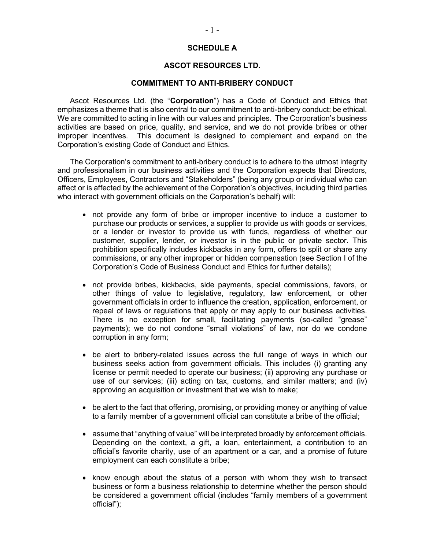# SCHEDULE A

#### ASCOT RESOURCES LTD.

#### COMMITMENT TO ANTI-BRIBERY CONDUCT

Ascot Resources Ltd. (the "Corporation") has a Code of Conduct and Ethics that emphasizes a theme that is also central to our commitment to anti-bribery conduct: be ethical. We are committed to acting in line with our values and principles. The Corporation's business activities are based on price, quality, and service, and we do not provide bribes or other improper incentives. This document is designed to complement and expand on the Corporation's existing Code of Conduct and Ethics.

The Corporation's commitment to anti-bribery conduct is to adhere to the utmost integrity and professionalism in our business activities and the Corporation expects that Directors, Officers, Employees, Contractors and "Stakeholders" (being any group or individual who can affect or is affected by the achievement of the Corporation's objectives, including third parties who interact with government officials on the Corporation's behalf) will:

- not provide any form of bribe or improper incentive to induce a customer to purchase our products or services, a supplier to provide us with goods or services, or a lender or investor to provide us with funds, regardless of whether our customer, supplier, lender, or investor is in the public or private sector. This prohibition specifically includes kickbacks in any form, offers to split or share any commissions, or any other improper or hidden compensation (see Section I of the Corporation's Code of Business Conduct and Ethics for further details);
- not provide bribes, kickbacks, side payments, special commissions, favors, or other things of value to legislative, regulatory, law enforcement, or other government officials in order to influence the creation, application, enforcement, or repeal of laws or regulations that apply or may apply to our business activities. There is no exception for small, facilitating payments (so-called "grease" payments); we do not condone "small violations" of law, nor do we condone corruption in any form;
- be alert to bribery-related issues across the full range of ways in which our business seeks action from government officials. This includes (i) granting any license or permit needed to operate our business; (ii) approving any purchase or use of our services; (iii) acting on tax, customs, and similar matters; and (iv) approving an acquisition or investment that we wish to make;
- be alert to the fact that offering, promising, or providing money or anything of value to a family member of a government official can constitute a bribe of the official;
- assume that "anything of value" will be interpreted broadly by enforcement officials. Depending on the context, a gift, a loan, entertainment, a contribution to an official's favorite charity, use of an apartment or a car, and a promise of future employment can each constitute a bribe;
- $\bullet$  know enough about the status of a person with whom they wish to transact business or form a business relationship to determine whether the person should be considered a government official (includes "family members of a government official");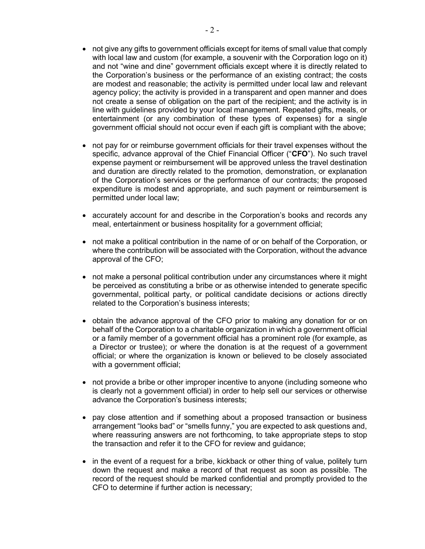- not give any gifts to government officials except for items of small value that comply with local law and custom (for example, a souvenir with the Corporation logo on it) and not "wine and dine" government officials except where it is directly related to the Corporation's business or the performance of an existing contract; the costs are modest and reasonable; the activity is permitted under local law and relevant agency policy; the activity is provided in a transparent and open manner and does not create a sense of obligation on the part of the recipient; and the activity is in line with guidelines provided by your local management. Repeated gifts, meals, or entertainment (or any combination of these types of expenses) for a single government official should not occur even if each gift is compliant with the above;
- not pay for or reimburse government officials for their travel expenses without the specific, advance approval of the Chief Financial Officer ("CFO"). No such travel expense payment or reimbursement will be approved unless the travel destination and duration are directly related to the promotion, demonstration, or explanation of the Corporation's services or the performance of our contracts; the proposed expenditure is modest and appropriate, and such payment or reimbursement is permitted under local law;
- accurately account for and describe in the Corporation's books and records any meal, entertainment or business hospitality for a government official;
- not make a political contribution in the name of or on behalf of the Corporation, or where the contribution will be associated with the Corporation, without the advance approval of the CFO;
- not make a personal political contribution under any circumstances where it might be perceived as constituting a bribe or as otherwise intended to generate specific governmental, political party, or political candidate decisions or actions directly related to the Corporation's business interests;
- obtain the advance approval of the CFO prior to making any donation for or on behalf of the Corporation to a charitable organization in which a government official or a family member of a government official has a prominent role (for example, as a Director or trustee); or where the donation is at the request of a government official; or where the organization is known or believed to be closely associated with a government official;
- not provide a bribe or other improper incentive to anyone (including someone who is clearly not a government official) in order to help sell our services or otherwise advance the Corporation's business interests;
- pay close attention and if something about a proposed transaction or business arrangement "looks bad" or "smells funny," you are expected to ask questions and, where reassuring answers are not forthcoming, to take appropriate steps to stop the transaction and refer it to the CFO for review and guidance;
- in the event of a request for a bribe, kickback or other thing of value, politely turn down the request and make a record of that request as soon as possible. The record of the request should be marked confidential and promptly provided to the CFO to determine if further action is necessary;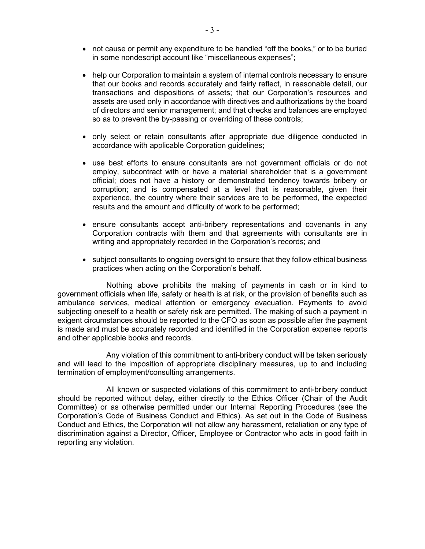- not cause or permit any expenditure to be handled "off the books," or to be buried in some nondescript account like "miscellaneous expenses";
- help our Corporation to maintain a system of internal controls necessary to ensure that our books and records accurately and fairly reflect, in reasonable detail, our transactions and dispositions of assets; that our Corporation's resources and assets are used only in accordance with directives and authorizations by the board of directors and senior management; and that checks and balances are employed so as to prevent the by-passing or overriding of these controls;
- only select or retain consultants after appropriate due diligence conducted in accordance with applicable Corporation guidelines;
- use best efforts to ensure consultants are not government officials or do not employ, subcontract with or have a material shareholder that is a government official; does not have a history or demonstrated tendency towards bribery or corruption; and is compensated at a level that is reasonable, given their experience, the country where their services are to be performed, the expected results and the amount and difficulty of work to be performed;
- ensure consultants accept anti-bribery representations and covenants in any Corporation contracts with them and that agreements with consultants are in writing and appropriately recorded in the Corporation's records; and
- subject consultants to ongoing oversight to ensure that they follow ethical business practices when acting on the Corporation's behalf.

Nothing above prohibits the making of payments in cash or in kind to government officials when life, safety or health is at risk, or the provision of benefits such as ambulance services, medical attention or emergency evacuation. Payments to avoid subjecting oneself to a health or safety risk are permitted. The making of such a payment in exigent circumstances should be reported to the CFO as soon as possible after the payment is made and must be accurately recorded and identified in the Corporation expense reports and other applicable books and records.

Any violation of this commitment to anti-bribery conduct will be taken seriously and will lead to the imposition of appropriate disciplinary measures, up to and including termination of employment/consulting arrangements.

All known or suspected violations of this commitment to anti-bribery conduct should be reported without delay, either directly to the Ethics Officer (Chair of the Audit Committee) or as otherwise permitted under our Internal Reporting Procedures (see the Corporation's Code of Business Conduct and Ethics). As set out in the Code of Business Conduct and Ethics, the Corporation will not allow any harassment, retaliation or any type of discrimination against a Director, Officer, Employee or Contractor who acts in good faith in reporting any violation.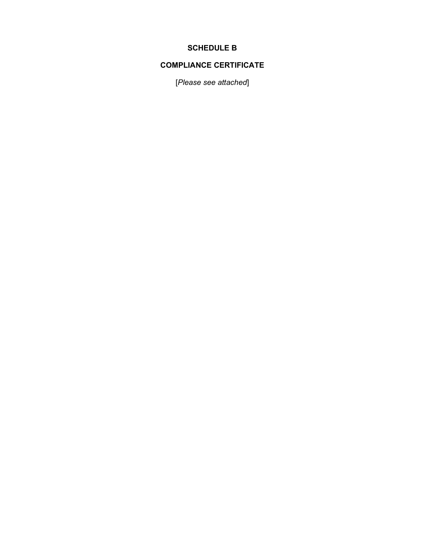# SCHEDULE B

# COMPLIANCE CERTIFICATE

[Please see attached]